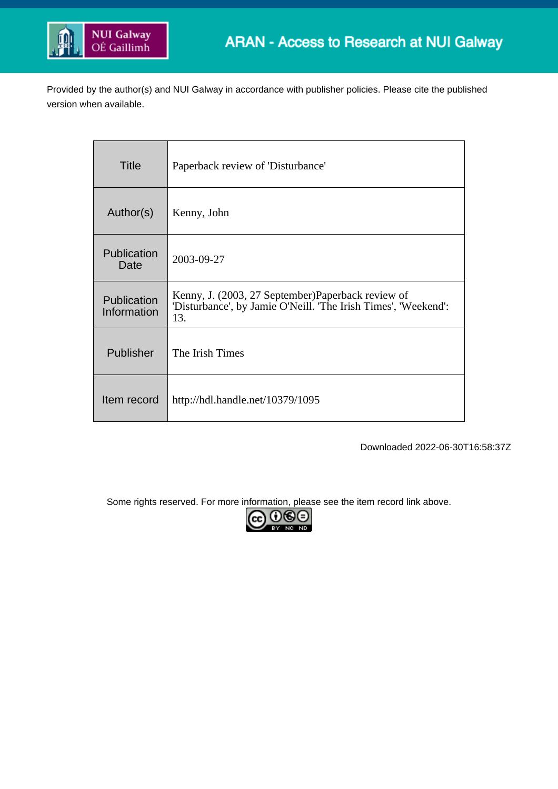

Provided by the author(s) and NUI Galway in accordance with publisher policies. Please cite the published version when available.

| Title                      | Paperback review of 'Disturbance'                                                                                           |
|----------------------------|-----------------------------------------------------------------------------------------------------------------------------|
| Author(s)                  | Kenny, John                                                                                                                 |
| Publication<br>Date        | 2003-09-27                                                                                                                  |
| Publication<br>Information | Kenny, J. (2003, 27 September) Paperback review of<br>'Disturbance', by Jamie O'Neill. 'The Irish Times', 'Weekend':<br>13. |
| Publisher                  | The Irish Times                                                                                                             |
| Item record                | http://hdl.handle.net/10379/1095                                                                                            |

Downloaded 2022-06-30T16:58:37Z

Some rights reserved. For more information, please see the item record link above.